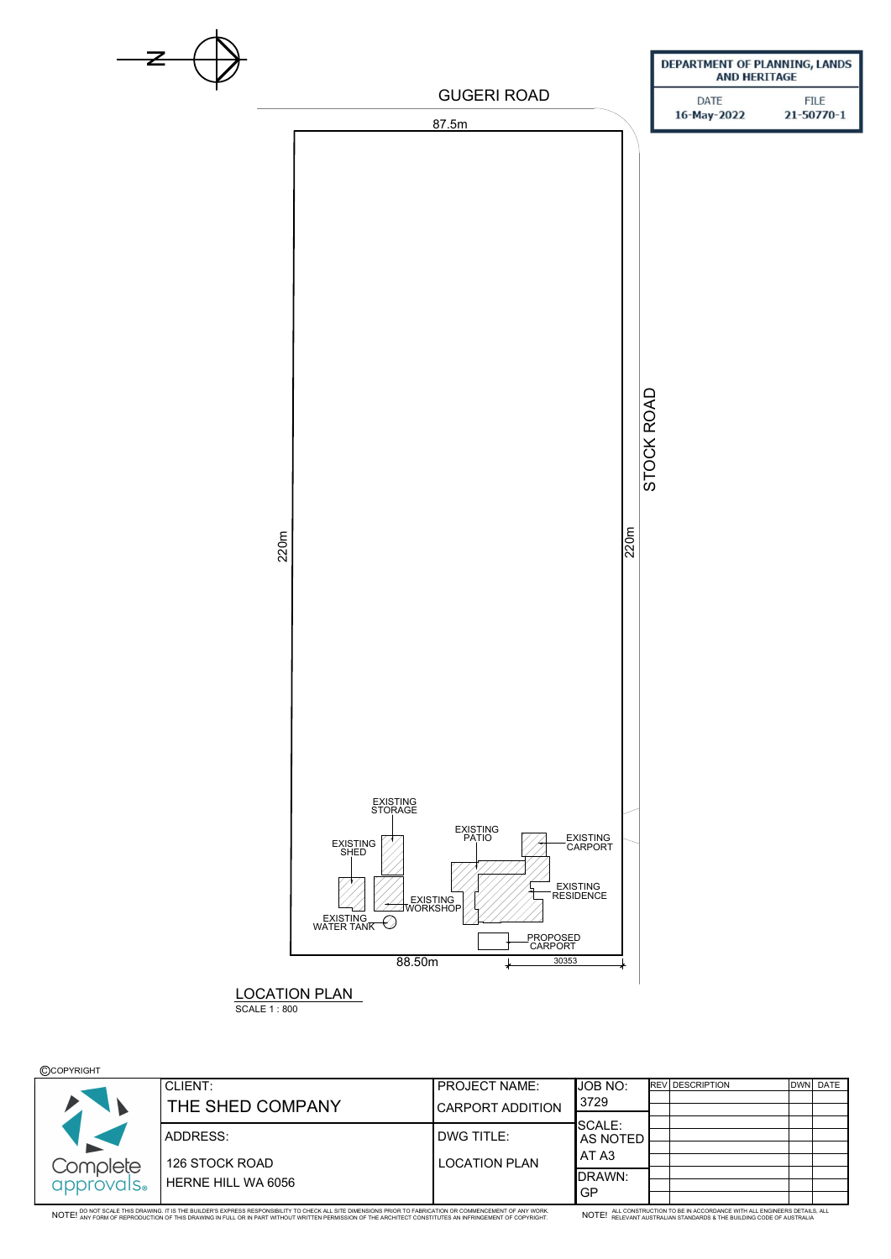

## **©COPYRIGHT**

|            | CLIENT:                   | <b>PROJECT NAME:</b>    | <b>JOB NO:</b>                   | <b>IREV DESCRIPTION</b> | DWN DATE |
|------------|---------------------------|-------------------------|----------------------------------|-------------------------|----------|
|            | THE SHED COMPANY          | <b>CARPORT ADDITION</b> | 3729                             |                         |          |
|            |                           |                         | <b>SCALE:</b>                    |                         |          |
|            | ADDRESS:                  | <b>DWG TITLE:</b>       | <b>AS NOTED</b>                  |                         |          |
|            |                           |                         | AT A3                            |                         |          |
| Complete   | 126 STOCK ROAD            | <b>LOCATION PLAN</b>    |                                  |                         |          |
| approvals. | <b>HERNE HILL WA 6056</b> |                         | <b>IDRAWN:</b><br>G <sub>P</sub> |                         |          |
|            |                           |                         |                                  |                         |          |

NOTE! DO NOT SCALE THIS DRAWING. IT IS THE BUILDER'S EXPRESS RESPONSIBILITY TO CHECK ALL SITE DIMENSIONS PRIOR TO FABRICATION OR COMMENCEMENT OF ANY WORK.<br>. NOTE! ANY FORM OF REPRODUCTION OF THIS DRAWING IN FULL OR IN PART

NOTE! ALL CONSTRUCTION TO BE IN ACCORDANCE WITH ALL ENGINEERS DETAILS, ALL NOTE! RELEVANT AUSTRALIAN STANDARDS & THE BUILDING CODE OF AUSTRALIA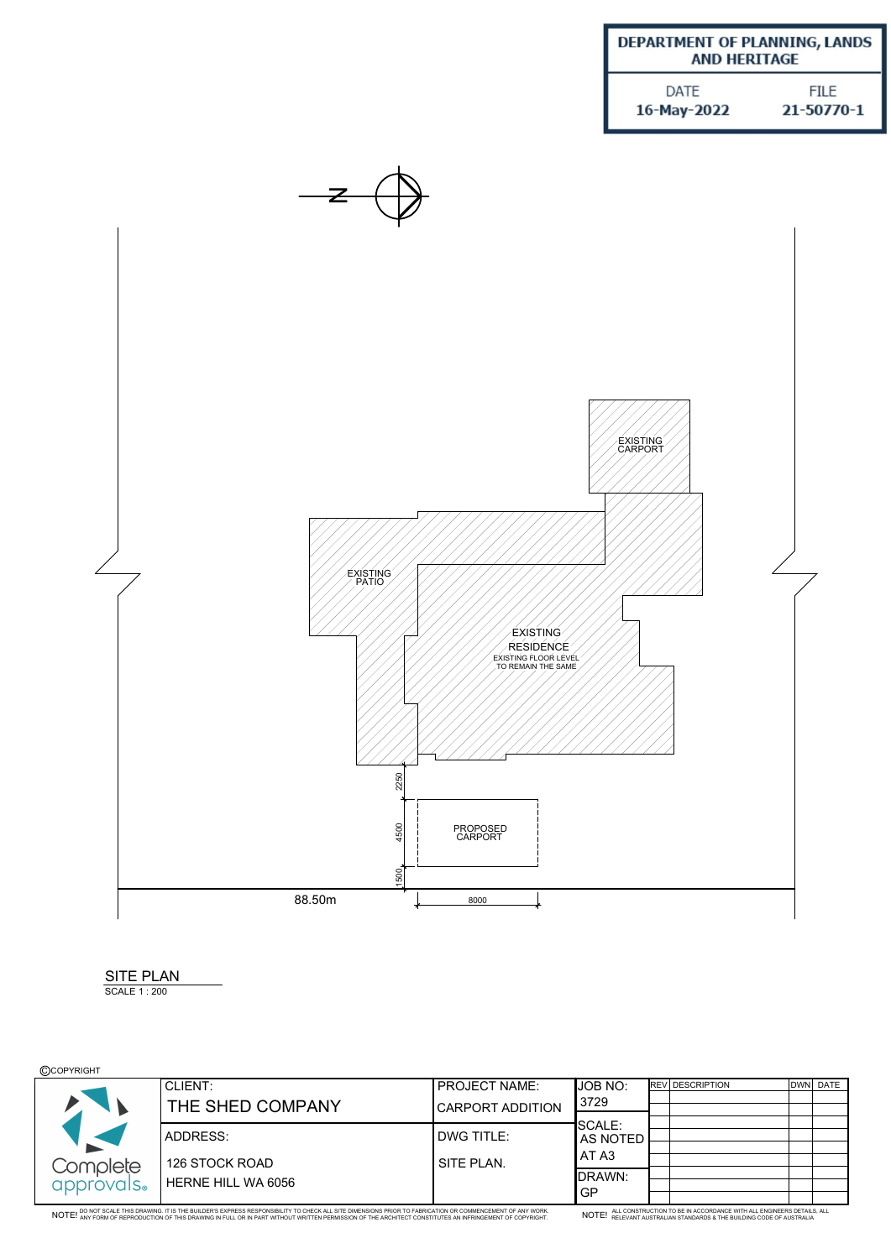| DEPARTMENT OF PLANNING, LANDS<br><b>AND HERITAGE</b> |             |  |  |  |  |
|------------------------------------------------------|-------------|--|--|--|--|
| DATE                                                 | <b>FILE</b> |  |  |  |  |
| 16-May-2022                                          | 21-50770-1  |  |  |  |  |



| <b>SITE PLAI</b> |  |
|------------------|--|
| SCALE 1:200      |  |

## **©COPYRIGHT**

|            | <b>CLIENT:</b>     | <b>PROJECT NAME:</b>    | JOB NO:        | <b>IREV DESCRIPTION</b> | DWN DATE |
|------------|--------------------|-------------------------|----------------|-------------------------|----------|
|            | THE SHED COMPANY   | <b>CARPORT ADDITION</b> | 3729           |                         |          |
|            |                    |                         | <b>SCALE:</b>  |                         |          |
|            | <b>ADDRESS:</b>    | <b>DWG TITLE:</b>       | AS NOTED       |                         |          |
|            |                    |                         | ATA3           |                         |          |
| Complete   | 126 STOCK ROAD     | SITE PLAN.              | <b>IDRAWN:</b> |                         |          |
| approvals. | HERNE HILL WA 6056 |                         |                |                         |          |
|            |                    |                         | GP             |                         |          |

NOTE! DO NOT SCALE THIS DRAWING. IT IS THE BUILDER'S EXPRESS RESPONSIBILITY TO CHECK ALL SITE DIMENSIONS PRIOR TO FABRICATION OR COMMENCEMENT OF ANY WORK.<br>. NOTE! ANY FORM OF REPRODUCTION OF THIS DRAWING IN FULL OR IN PART

NOTE! ALL CONSTRUCTION TO BE IN ACCORDANCE WITH ALL ENGINEERS DETAILS, ALL NOTE! RELEVANT AUSTRALIAN STANDARDS & THE BUILDING CODE OF AUSTRALIA